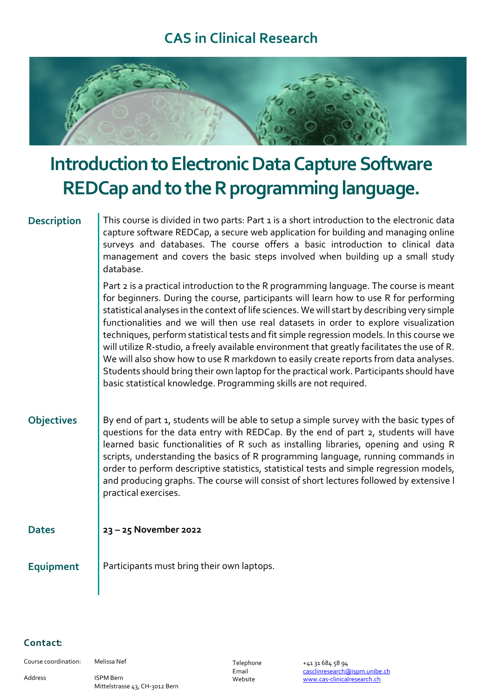## **CAS in Clinical Research**



# **Introduction to Electronic Data Capture Software REDCapand to the R programming language.**

**Description** | This course is divided in two parts: Part 1 is a short introduction to the electronic data capture software REDCap, a secure web application for building and managing online surveys and databases. The course offers a basic introduction to clinical data management and covers the basic steps involved when building up a small study database.

> Part 2 is a practical introduction to the R programming language. The course is meant for beginners. During the course, participants will learn how to use R for performing statistical analyses in the context of life sciences. We will start by describing very simple functionalities and we will then use real datasets in order to explore visualization techniques, perform statistical tests and fit simple regression models. In this course we will utilize R-studio, a freely available environment that greatly facilitates the use of R. We will also show how to use R markdown to easily create reports from data analyses. Students should bring their own laptop for the practical work. Participants should have basic statistical knowledge. Programming skills are not required.

**Objectives** | By end of part 1, students will be able to setup a simple survey with the basic types of questions for the data entry with REDCap. By the end of part 2, students will have learned basic functionalities of R such as installing libraries, opening and using R scripts, understanding the basics of R programming language, running commands in order to perform descriptive statistics, statistical tests and simple regression models, and producing graphs. The course will consist of short lectures followed by extensive l practical exercises.

### **Dates 23 – 25 November 2022**

**Equipment** Participants must bring their own laptops.

### Contact:

Course coordination: Melissa Nef

Address ISPM Bern Mittelstrasse 43, CH-3012 Bern Telephone +41 31 684 58 94 Email casclinresearch@ispm.unibe.ch Website www.cas-clinicalresearch.ch